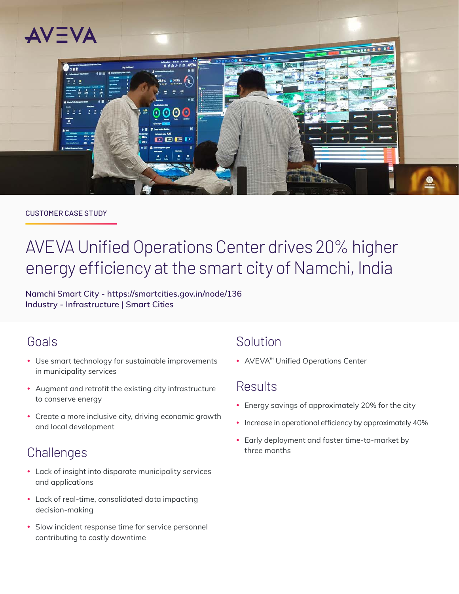

#### CUSTOMER CASE STUDY

# AVEVA Unified Operations Center drives 20% higher energy efficiency at the smart city of Namchi, India

**Namchi Smart City - <https://smartcities.gov.in/node/136> Industry - Infrastructure | Smart Cities**

### Goals

- Use smart technology for sustainable improvements in municipality services
- Augment and retrofit the existing city infrastructure to conserve energy
- Create a more inclusive city, driving economic growth and local development

# **Challenges**

- Lack of insight into disparate municipality services and applications
- Lack of real-time, consolidated data impacting decision-making
- Slow incident response time for service personnel contributing to costly downtime

## Solution

• AVEVA™ Unified Operations Center

## Results

- Energy savings of approximately 20% for the city
- Increase in operational efficiency by approximately 40%
- Early deployment and faster time-to-market by three months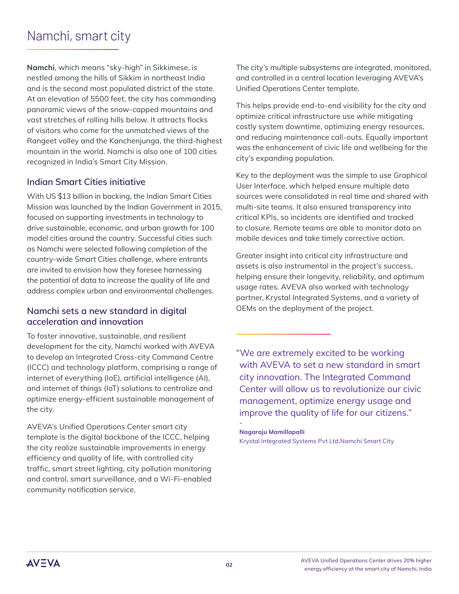# Namchi, smart city

**Namchi**, which means "sky-high" in Sikkimese, is nestled among the hills of Sikkim in northeast India and is the second most populated district of the state. At an elevation of 5500 feet, the city has commanding panoramic views of the snow-capped mountains and vast stretches of rolling hills below. It attracts flocks of visitors who come for the unmatched views of the Rangeet valley and the Kanchenjunga, the third-highest mountain in the world. Namchi is also one of 100 cities recognized in India's Smart City Mission.

### **Indian Smart Cities initiative**

With US \$13 billion in backing, the Indian Smart Cities Mission was launched by the Indian Government in 2015, focused on supporting investments in technology to drive sustainable, economic, and urban growth for 100 model cities around the country. Successful cities such as Namchi were selected following completion of the country-wide Smart Cities challenge, where entrants are invited to envision how they foresee harnessing the potential of data to increase the quality of life and address complex urban and environmental challenges.

#### **Namchi sets a new standard in digital acceleration and innovation**

To foster innovative, sustainable, and resilient development for the city, Namchi worked with AVEVA to develop an Integrated Cross-city Command Centre (ICCC) and technology platform, comprising a range of internet of everything (IoE), artificial intelligence (AI), and internet of things (IoT) solutions to centralize and optimize energy-efficient sustainable management of the city.

AVEVA's Unified Operations Center smart city template is the digital backbone of the ICCC, helping the city realize sustainable improvements in energy efficiency and quality of life, with controlled city traffic, smart street lighting, city pollution monitoring and control, smart surveillance, and a Wi-Fi-enabled community notification service.

The city's multiple subsystems are integrated, monitored, and controlled in a central location leveraging AVEVA's Unified Operations Center template.

This helps provide end-to-end visibility for the city and optimize critical infrastructure use while mitigating costly system downtime, optimizing energy resources, and reducing maintenance call-outs. Equally important was the enhancement of civic life and wellbeing for the city's expanding population.

Key to the deployment was the simple to use Graphical User Interface, which helped ensure multiple data sources were consolidated in real time and shared with multi-site teams. It also ensured transparency into critical KPIs, so incidents are identified and tracked to closure. Remote teams are able to monitor data on mobile devices and take timely corrective action.

Greater insight into critical city infrastructure and assets is also instrumental in the project's success, helping ensure their longevity, reliability, and optimum usage rates. AVEVA also worked with technology partner, Krystal Integrated Systems, and a variety of OEMs on the deployment of the project.

"We are extremely excited to be working with AVEVA to set a new standard in smart city innovation. The Integrated Command Center will allow us to revolutionize our civic management, optimize energy usage and improve the quality of life for our citizens."

**Nagaraju Mamillapalli** Krystal Integrated Systems Pvt Ltd,Namchi Smart City

**-**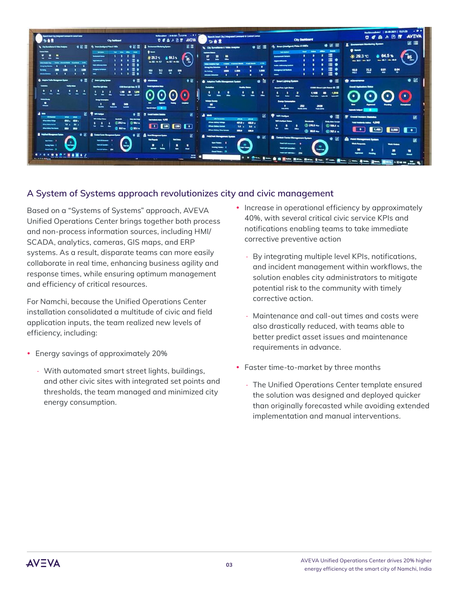

### **A System of Systems approach revolutionizes city and civic management**

Based on a "Systems of Systems" approach, AVEVA Unified Operations Center brings together both process and non-process information sources, including HMI/ SCADA, analytics, cameras, GIS maps, and ERP systems. As a result, disparate teams can more easily collaborate in real time, enhancing business agility and response times, while ensuring optimum management and efficiency of critical resources.

For Namchi, because the Unified Operations Center installation consolidated a multitude of civic and field application inputs, the team realized new levels of efficiency, including:

- Energy savings of approximately 20%
	- · With automated smart street lights, buildings, and other civic sites with integrated set points and thresholds, the team managed and minimized city energy consumption.
- Increase in operational efficiency by approximately 40%, with several critical civic service KPIs and notifications enabling teams to take immediate corrective preventive action
	- · By integrating multiple level KPIs, notifications, and incident management within workflows, the solution enables city administrators to mitigate potential risk to the community with timely corrective action.
	- · Maintenance and call-out times and costs were also drastically reduced, with teams able to better predict asset issues and maintenance requirements in advance.
- Faster time-to-market by three months
	- · The Unified Operations Center template ensured the solution was designed and deployed quicker than originally forecasted while avoiding extended implementation and manual interventions.